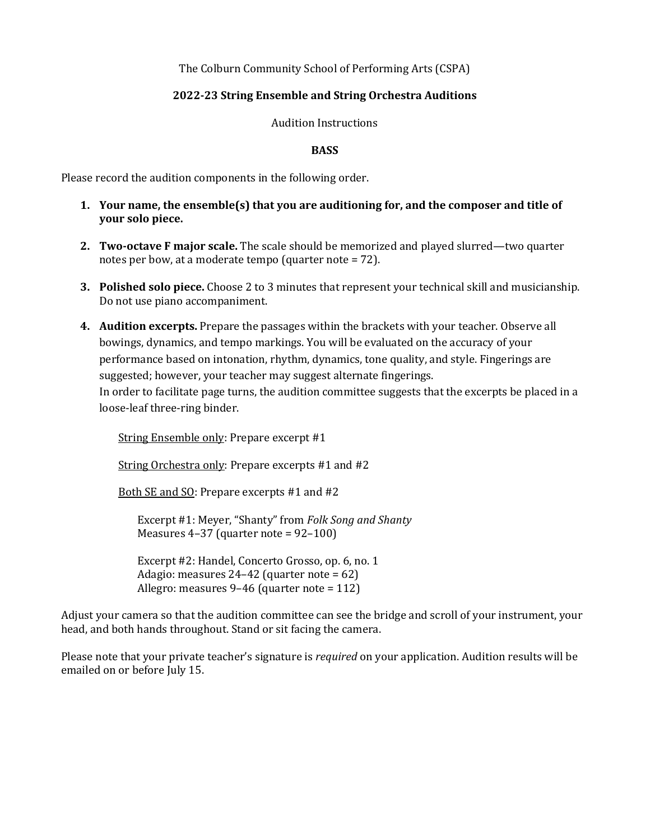The Colburn Community School of Performing Arts (CSPA)

## **2022-23 String Ensemble and String Orchestra Auditions**

Audition Instructions

## **BASS**

Please record the audition components in the following order.

- **1.** Your name, the ensemble(s) that you are auditioning for, and the composer and title of **your solo piece.**
- **2. Two-octave F major scale.** The scale should be memorized and played slurred—two quarter notes per bow, at a moderate tempo (quarter note  $= 72$ ).
- **3.** Polished solo piece. Choose 2 to 3 minutes that represent your technical skill and musicianship. Do not use piano accompaniment.
- 4. Audition excerpts. Prepare the passages within the brackets with your teacher. Observe all bowings, dynamics, and tempo markings. You will be evaluated on the accuracy of your performance based on intonation, rhythm, dynamics, tone quality, and style. Fingerings are suggested; however, your teacher may suggest alternate fingerings. In order to facilitate page turns, the audition committee suggests that the excerpts be placed in a loose-leaf three-ring binder.

String Ensemble only: Prepare excerpt #1

String Orchestra only: Prepare excerpts  $#1$  and  $#2$ 

Both SE and SO: Prepare excerpts #1 and #2

Excerpt #1: Meyer, "Shanty" from *Folk Song and Shanty* Measures  $4-37$  (quarter note =  $92-100$ )

Excerpt #2: Handel, Concerto Grosso, op. 6, no. 1 Adagio: measures  $24-42$  (quarter note = 62) Allegro: measures  $9-46$  (quarter note = 112)

Adjust your camera so that the audition committee can see the bridge and scroll of your instrument, your head, and both hands throughout. Stand or sit facing the camera.

Please note that your private teacher's signature is *required* on your application. Audition results will be emailed on or before July 15.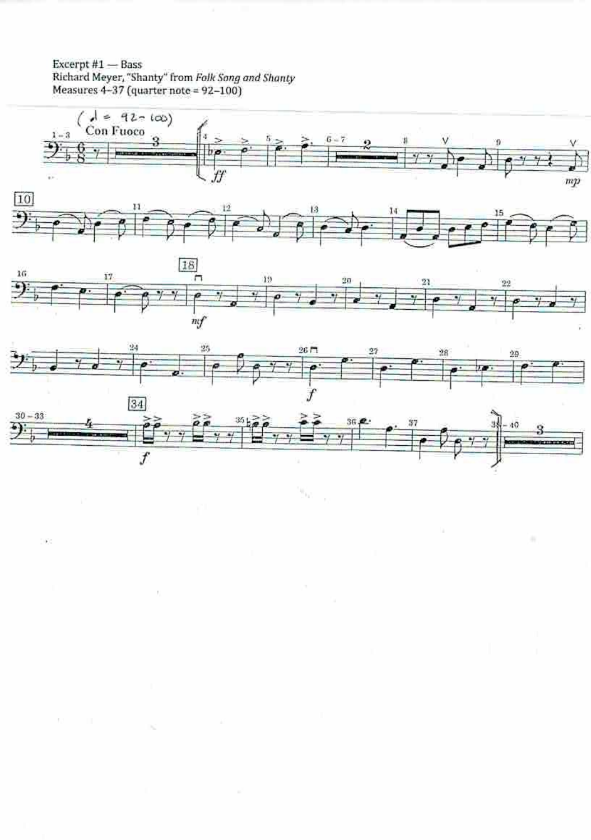Excerpt  $#1$  - Bass Richard Meyer, "Shanty" from Folk Song and Shanty<br>Measures 4-37 (quarter note = 92-100)

V.

 $\mathbf{E}^{\mathrm{c}}$ 

 $\mathbf{L}$ 

 $\mathcal{C}$ 



 $\mathbf{u}_0$ 

来

9